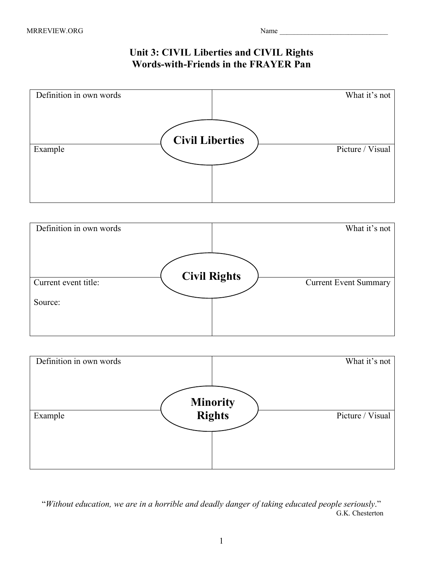## **Unit 3: CIVIL Liberties and CIVIL Rights Words-with-Friends in the FRAYER Pan**







 "*Without education, we are in a horrible and deadly danger of taking educated people seriously*." G.K. Chesterton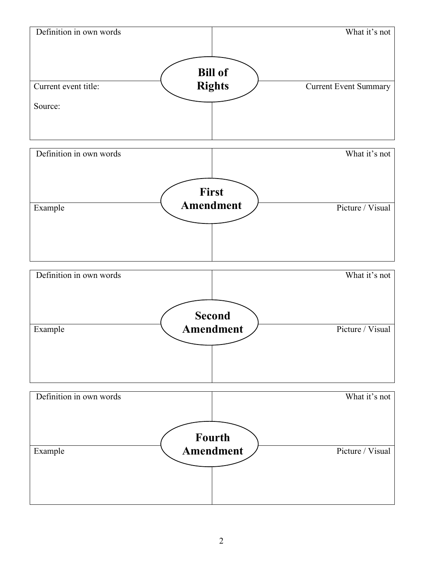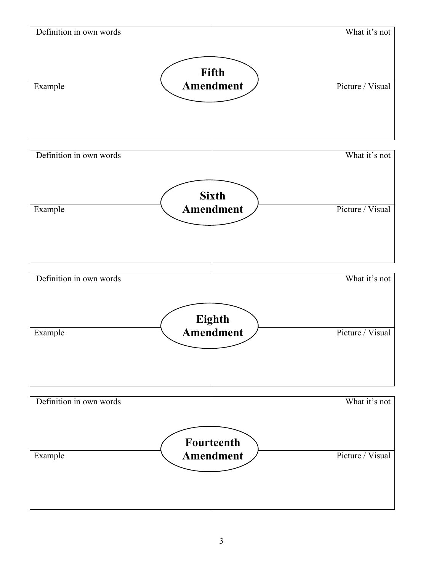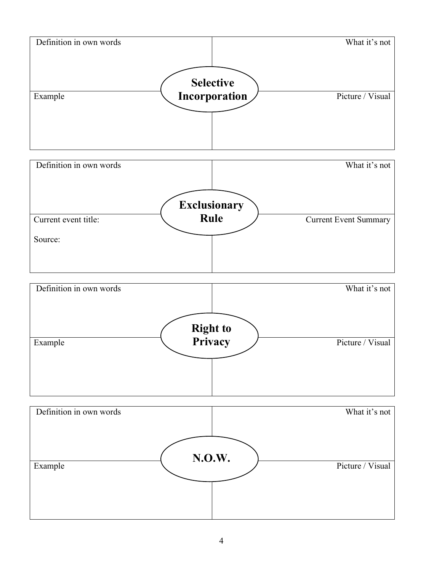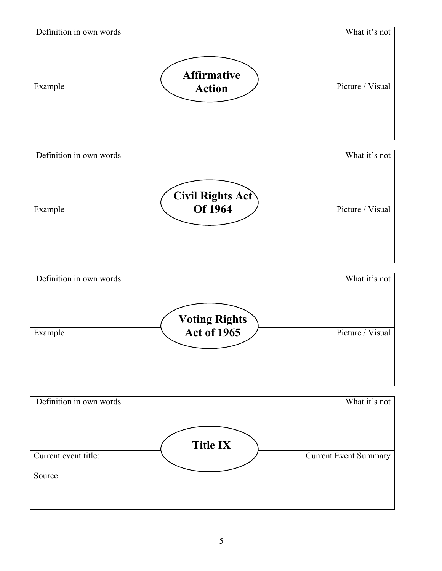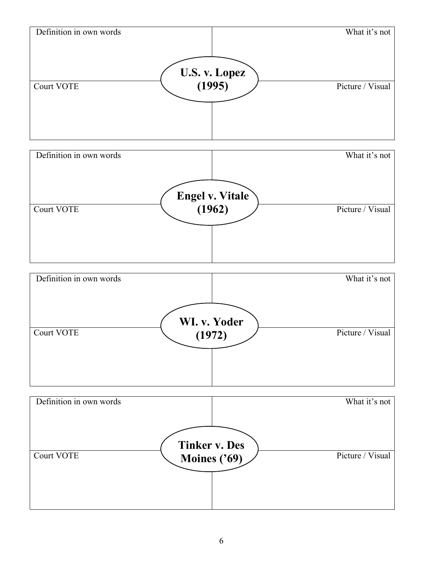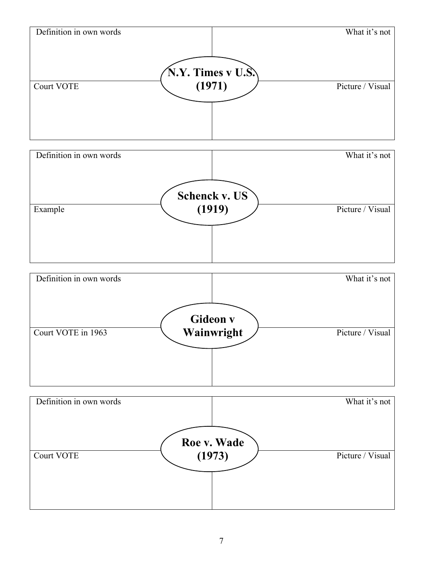